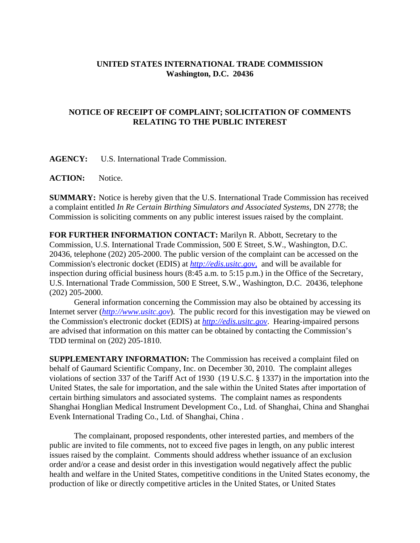## **UNITED STATES INTERNATIONAL TRADE COMMISSION Washington, D.C. 20436**

## **NOTICE OF RECEIPT OF COMPLAINT; SOLICITATION OF COMMENTS RELATING TO THE PUBLIC INTEREST**

**AGENCY:** U.S. International Trade Commission.

**ACTION:** Notice.

**SUMMARY:** Notice is hereby given that the U.S. International Trade Commission has received a complaint entitled *In Re Certain Birthing Simulators and Associated Systems*, DN 2778; the Commission is soliciting comments on any public interest issues raised by the complaint.

**FOR FURTHER INFORMATION CONTACT:** Marilyn R. Abbott, Secretary to the Commission, U.S. International Trade Commission, 500 E Street, S.W., Washington, D.C. 20436, telephone (202) 205-2000. The public version of the complaint can be accessed on the Commission's electronic docket (EDIS) at *http://edis.usitc.gov*, and will be available for inspection during official business hours (8:45 a.m. to 5:15 p.m.) in the Office of the Secretary, U.S. International Trade Commission, 500 E Street, S.W., Washington, D.C. 20436, telephone (202) 205-2000.

General information concerning the Commission may also be obtained by accessing its Internet server (*http://www.usitc.gov*). The public record for this investigation may be viewed on the Commission's electronic docket (EDIS) at *http://edis.usitc.gov*. Hearing-impaired persons are advised that information on this matter can be obtained by contacting the Commission's TDD terminal on (202) 205-1810.

**SUPPLEMENTARY INFORMATION:** The Commission has received a complaint filed on behalf of Gaumard Scientific Company, Inc. on December 30, 2010. The complaint alleges violations of section 337 of the Tariff Act of 1930 (19 U.S.C. § 1337) in the importation into the United States, the sale for importation, and the sale within the United States after importation of certain birthing simulators and associated systems. The complaint names as respondents Shanghai Honglian Medical Instrument Development Co., Ltd. of Shanghai, China and Shanghai Evenk International Trading Co., Ltd. of Shanghai, China .

The complainant, proposed respondents, other interested parties, and members of the public are invited to file comments, not to exceed five pages in length, on any public interest issues raised by the complaint. Comments should address whether issuance of an exclusion order and/or a cease and desist order in this investigation would negatively affect the public health and welfare in the United States, competitive conditions in the United States economy, the production of like or directly competitive articles in the United States, or United States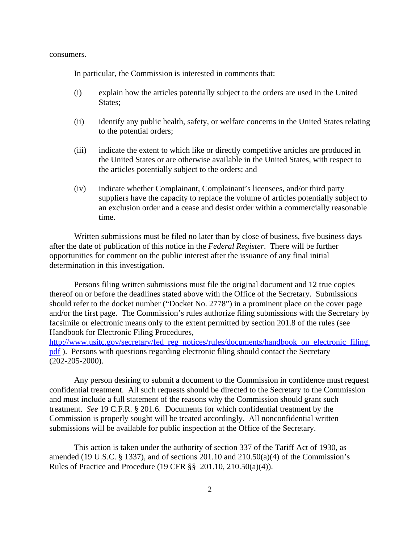consumers.

In particular, the Commission is interested in comments that:

- (i) explain how the articles potentially subject to the orders are used in the United States;
- (ii) identify any public health, safety, or welfare concerns in the United States relating to the potential orders;
- (iii) indicate the extent to which like or directly competitive articles are produced in the United States or are otherwise available in the United States, with respect to the articles potentially subject to the orders; and
- (iv) indicate whether Complainant, Complainant's licensees, and/or third party suppliers have the capacity to replace the volume of articles potentially subject to an exclusion order and a cease and desist order within a commercially reasonable time.

Written submissions must be filed no later than by close of business, five business days after the date of publication of this notice in the *Federal Register*. There will be further opportunities for comment on the public interest after the issuance of any final initial determination in this investigation.

Persons filing written submissions must file the original document and 12 true copies thereof on or before the deadlines stated above with the Office of the Secretary. Submissions should refer to the docket number ("Docket No. 2778") in a prominent place on the cover page and/or the first page. The Commission's rules authorize filing submissions with the Secretary by facsimile or electronic means only to the extent permitted by section 201.8 of the rules (see Handbook for Electronic Filing Procedures,

http://www.usitc.gov/secretary/fed\_reg\_notices/rules/documents/handbook\_on\_electronic\_filing. pdf ). Persons with questions regarding electronic filing should contact the Secretary (202-205-2000).

Any person desiring to submit a document to the Commission in confidence must request confidential treatment. All such requests should be directed to the Secretary to the Commission and must include a full statement of the reasons why the Commission should grant such treatment. *See* 19 C.F.R. § 201.6. Documents for which confidential treatment by the Commission is properly sought will be treated accordingly. All nonconfidential written submissions will be available for public inspection at the Office of the Secretary.

This action is taken under the authority of section 337 of the Tariff Act of 1930, as amended (19 U.S.C.  $\S$  1337), and of sections 201.10 and 210.50(a)(4) of the Commission's Rules of Practice and Procedure (19 CFR §§ 201.10, 210.50(a)(4)).